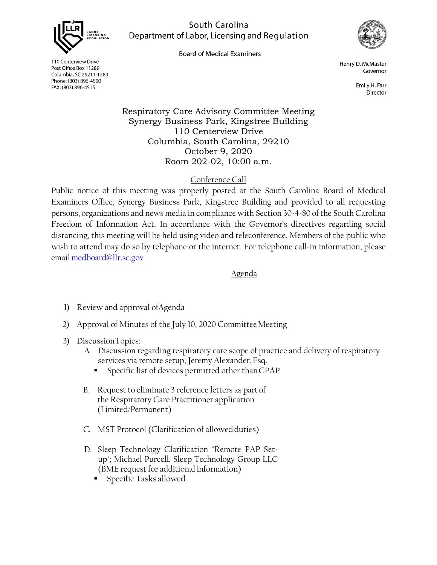

South Carolina Department of Labor, Licensing and Regulation

**Board of Medical Examiners** 



110 Centerview Drive Post Office Box 11289 Columbia, SC 29211-1289 Phone: (803) 896-4500 FAX: (803) 896-4515

Henry D. McMaster Governor

> Emily H. Farr Director

Respiratory Care Advisory Committee Meeting Synergy Business Park, Kingstree Building 110 Centerview Drive Columbia, South Carolina, 29210 October 9, 2020 Room 202-02, 10:00 a.m.

## Conference Call

Public notice of this meeting was properly posted at the South Carolina Board of Medical Examiners Office, Synergy Business Park, Kingstree Building and provided to all requesting persons, organizations and news media in compliance with Section 30-4-80 of the South Carolina Freedom of Information Act. In accordance with the Governor's directives regarding social distancing, this meeting will be held using video and teleconference. Members of the public who wish to attend may do so by telephone or the internet. For telephone call-in information, please email [medboard@llr.sc.gov](mailto:medboard@llr.sc.gov)

## Agenda

- 1) Review and approval ofAgenda
- 2) Approval of Minutes of the July 10, 2020 Committee Meeting
- 3) DiscussionTopics:
	- A. Discussion regarding respiratory care scope of practice and delivery of respiratory services via remote setup, Jeremy Alexander, Esq.
		- Specific list of devices permitted other thanCPAP
	- B. Request to eliminate 3 reference letters as part of the Respiratory Care Practitioner application (Limited/Permanent)
	- C. MST Protocol (Clarification of allowed duties)
	- D. Sleep Technology Clarification "Remote PAP Setup"; Michael Purcell, Sleep Technology Group LLC (BME request for additional information)
		- **Specific Tasks allowed**